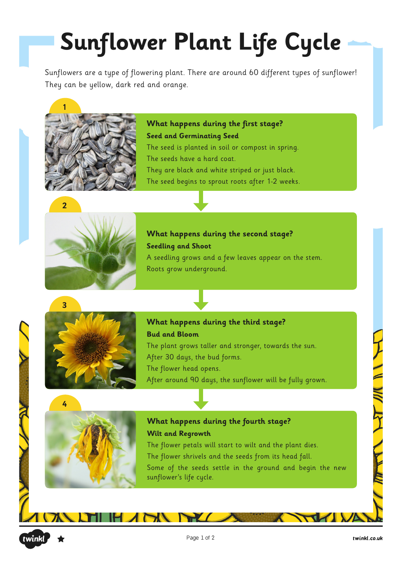# **Sunflower Plant Life Cycle**

Sunflowers are a type of flowering plant. There are around 60 different types of sunflower! They can be yellow, dark red and orange.



**What happens during the first stage? Seed and Germinating Seed** The seed is planted in soil or compost in spring. The seeds have a hard coat. They are black and white striped or just black. The seed begins to sprout roots after 1-2 weeks.



**What happens during the second stage? Seedling and Shoot**

A seedling grows and a few leaves appear on the stem. Roots grow underground.



**What happens during the third stage? Bud and Bloom** The plant grows taller and stronger, towards the sun. After 30 days, the bud forms. The flower head opens.

After around 90 days, the sunflower will be fully grown.



**What happens during the fourth stage? Wilt and Regrowth**

The flower petals will start to wilt and the plant dies. The flower shrivels and the seeds from its head fall. Some of the seeds settle in the ground and begin the new sunflower's life cycle.

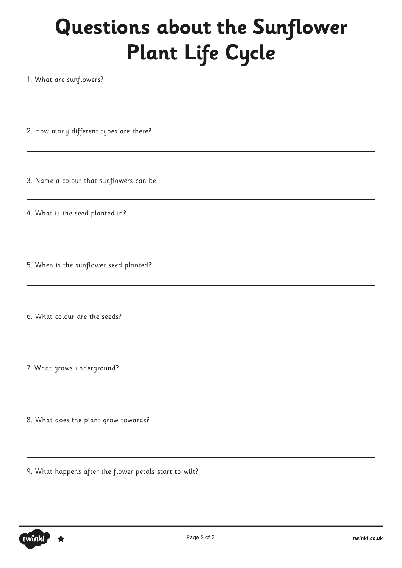1. What are sunflowers?

2. How many different types are there?

3. Name a colour that sunflowers can be.

4. What is the seed planted in?

5. When is the sunflower seed planted?

6. What colour are the seeds?

7. What grows underground?

8. What does the plant grow towards?

9. What happens after the flower petals start to wilt?

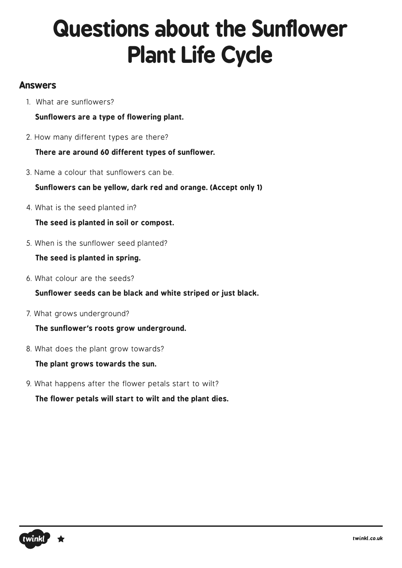### **Answers**

1. What are sunflowers?

**Sunflowers are a type of flowering plant.**

2. How many different types are there?

**There are around 60 different types of sunflower.** 

3. Name a colour that sunflowers can be.

**Sunflowers can be yellow, dark red and orange. (Accept only 1)**

4. What is the seed planted in?

**The seed is planted in soil or compost.**

5. When is the sunflower seed planted?

**The seed is planted in spring.**

6. What colour are the seeds?

**Sunflower seeds can be black and white striped or just black.**

7. What grows underground?

**The sunflower's roots grow underground.**

8. What does the plant grow towards?

**The plant grows towards the sun.**

9. What happens after the flower petals start to wilt?

**The flower petals will start to wilt and the plant dies.**

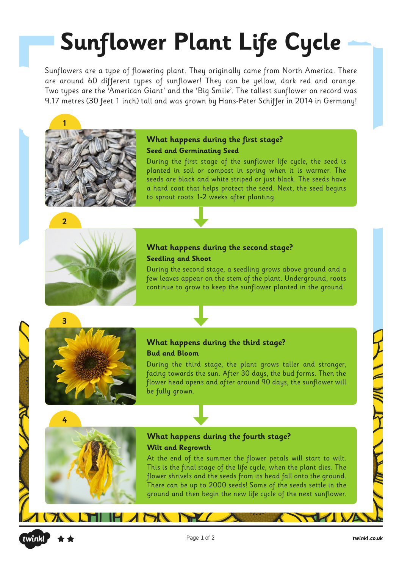# **Sunflower Plant Life Cycle**

Sunflowers are a type of flowering plant. They originally came from North America. There are around 60 different types of sunflower! They can be yellow, dark red and orange. Two types are the 'American Giant' and the 'Big Smile'. The tallest sunflower on record was 9.17 metres (30 feet 1 inch) tall and was grown by Hans-Peter Schiffer in 2014 in Germany!



#### **What happens during the first stage? Seed and Germinating Seed**

During the first stage of the sunflower life cycle, the seed is planted in soil or compost in spring when it is warmer. The seeds are black and white striped or just black. The seeds have a hard coat that helps protect the seed. Next, the seed begins to sprout roots 1-2 weeks after planting.



### **What happens during the second stage? Seedling and Shoot**

During the second stage, a seedling grows above ground and a few leaves appear on the stem of the plant. Underground, roots continue to grow to keep the sunflower planted in the ground.



#### **What happens during the third stage? Bud and Bloom**

During the third stage, the plant grows taller and stronger, facing towards the sun. After 30 days, the bud forms. Then the flower head opens and after around 90 days, the sunflower will be fully grown.



### **What happens during the fourth stage? Wilt and Regrowth**

At the end of the summer the flower petals will start to wilt. This is the final stage of the life cycle, when the plant dies. The flower shrivels and the seeds from its head fall onto the ground. There can be up to 2000 seeds! Some of the seeds settle in the ground and then begin the new life cycle of the next sunflower.



7 V F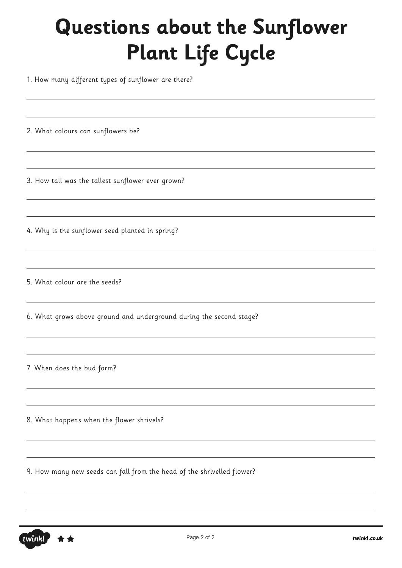1. How many different types of sunflower are there?

2. What colours can sunflowers be?

3. How tall was the tallest sunflower ever grown?

4. Why is the sunflower seed planted in spring?

5. What colour are the seeds?

6. What grows above ground and underground during the second stage?

7. When does the bud form?

8. What happens when the flower shrivels?

9. How many new seeds can fall from the head of the shrivelled flower?

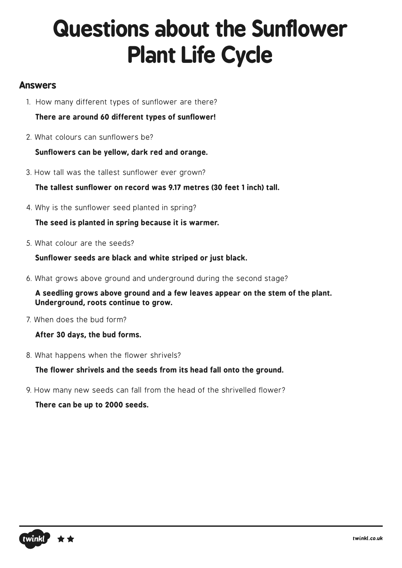### **Answers**

- 1. How many different types of sunflower are there?
	- **There are around 60 different types of sunflower!**
- 2. What colours can sunflowers be?

**Sunflowers can be yellow, dark red and orange.** 

3. How tall was the tallest sunflower ever grown?

**The tallest sunflower on record was 9.17 metres (30 feet 1 inch) tall.**

4. Why is the sunflower seed planted in spring?

**The seed is planted in spring because it is warmer.**

5. What colour are the seeds?

**Sunflower seeds are black and white striped or just black.**

6. What grows above ground and underground during the second stage?

**A seedling grows above ground and a few leaves appear on the stem of the plant. Underground, roots continue to grow.**

7. When does the bud form?

**After 30 days, the bud forms.**

8. What happens when the flower shrivels?

**The flower shrivels and the seeds from its head fall onto the ground.**

9. How many new seeds can fall from the head of the shrivelled flower?

**There can be up to 2000 seeds.**

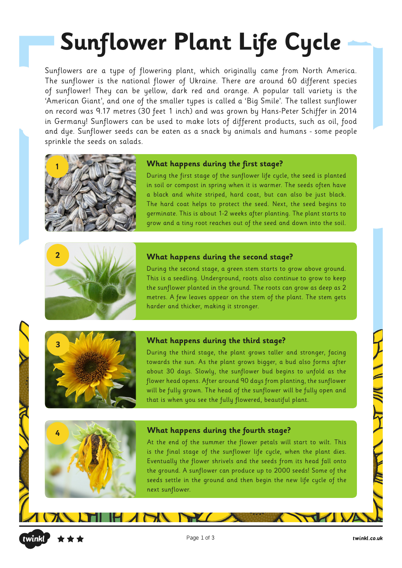# **Sunflower Plant Life Cycle**

Sunflowers are a type of flowering plant, which originally came from North America. The sunflower is the national flower of Ukraine. There are around 60 different species of sunflower! They can be yellow, dark red and orange. A popular tall variety is the 'American Giant', and one of the smaller types is called a 'Big Smile'. The tallest sunflower on record was 9.17 metres (30 feet 1 inch) and was grown by Hans-Peter Schiffer in 2014 in Germany! Sunflowers can be used to make lots of different products, such as oil, food and dye. Sunflower seeds can be eaten as a snack by animals and humans - some people sprinkle the seeds on salads.



#### **What happens during the first stage?**

During the first stage of the sunflower life cycle, the seed is planted in soil or compost in spring when it is warmer. The seeds often have a black and white striped, hard coat, but can also be just black. The hard coat helps to protect the seed. Next, the seed begins to germinate. This is about 1-2 weeks after planting. The plant starts to grow and a tiny root reaches out of the seed and down into the soil.



#### **What happens during the second stage?**

During the second stage, a green stem starts to grow above ground. This is a seedling. Underground, roots also continue to grow to keep the sunflower planted in the ground. The roots can grow as deep as 2 metres. A few leaves appear on the stem of the plant. The stem gets harder and thicker, making it stronger.



#### **What happens during the third stage?**

During the third stage, the plant grows taller and stronger, facing towards the sun. As the plant grows bigger, a bud also forms after about 30 days. Slowly, the sunflower bud begins to unfold as the flower head opens. After around 90 days from planting, the sunflower will be fully grown. The head of the sunflower will be fully open and that is when you see the fully flowered, beautiful plant.



#### **4 What happens during the fourth stage?**

At the end of the summer the flower petals will start to wilt. This is the final stage of the sunflower life cycle, when the plant dies. Eventually the flower shrivels and the seeds from its head fall onto the ground. A sunflower can produce up to 2000 seeds! Some of the seeds settle in the ground and then begin the new life cycle of the next sunflower.

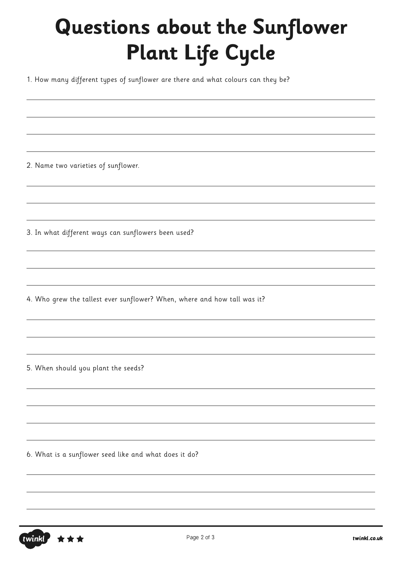1. How many different types of sunflower are there and what colours can they be?

2. Name two varieties of sunflower.

3. In what different ways can sunflowers been used?

4. Who grew the tallest ever sunflower? When, where and how tall was it?

5. When should you plant the seeds?

6. What is a sunflower seed like and what does it do?

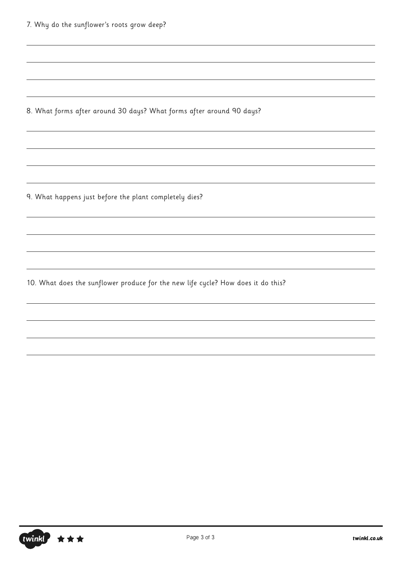|  |  |  |  |  | 7. Why do the sunflower's roots grow deep? |  |  |  |  |
|--|--|--|--|--|--------------------------------------------|--|--|--|--|
|--|--|--|--|--|--------------------------------------------|--|--|--|--|

8. What forms after around 30 days? What forms after around 90 days?

9. What happens just before the plant completely dies?

10. What does the sunflower produce for the new life cycle? How does it do this?